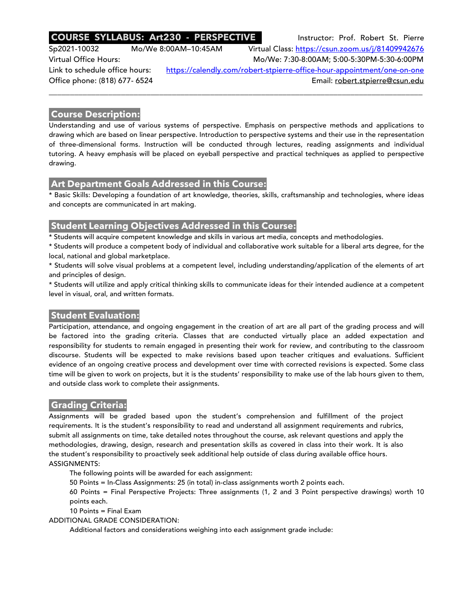# **COURSE SYLLABUS: Art230 - PERSPECTIVE** Instructor: Prof. Robert St. Pierre

Sp2021-10032 Mo/We 8:00AM–10:45AM Virtual Class: https://csun.zoom.us/j/81409942676 Virtual Office Hours: Mo/We: 7:30-8:00AM; 5:00-5:30PM-5:30-6:00PM Link to schedule office hours: https://calendly.com/robert-stpierre-office-hour-appointment/one-on-one Office phone: (818) 677- 6524 **Email:** robert.stpierre@csun.edu

\_\_\_\_\_\_\_\_\_\_\_\_\_\_\_\_\_\_\_\_\_\_\_\_\_\_\_\_\_\_\_\_\_\_\_\_\_\_\_\_\_\_\_\_\_\_\_\_\_\_\_\_\_\_\_\_\_\_\_\_\_\_\_\_\_\_\_\_\_\_\_\_\_\_\_\_\_\_\_\_\_\_\_\_\_\_\_\_

## **Course Description:**

Understanding and use of various systems of perspective. Emphasis on perspective methods and applications to drawing which are based on linear perspective. Introduction to perspective systems and their use in the representation of three-dimensional forms. Instruction will be conducted through lectures, reading assignments and individual tutoring. A heavy emphasis will be placed on eyeball perspective and practical techniques as applied to perspective drawing.

## **Art Department Goals Addressed in this Course:**

\* Basic Skills: Developing a foundation of art knowledge, theories, skills, craftsmanship and technologies, where ideas and concepts are communicated in art making.

# **Student Learning Objectives Addressed in this Course:**

\* Students will acquire competent knowledge and skills in various art media, concepts and methodologies.

\* Students will produce a competent body of individual and collaborative work suitable for a liberal arts degree, for the local, national and global marketplace.

\* Students will solve visual problems at a competent level, including understanding/application of the elements of art and principles of design.

\* Students will utilize and apply critical thinking skills to communicate ideas for their intended audience at a competent level in visual, oral, and written formats.

# **Student Evaluation:**

Participation, attendance, and ongoing engagement in the creation of art are all part of the grading process and will be factored into the grading criteria. Classes that are conducted virtually place an added expectation and responsibility for students to remain engaged in presenting their work for review, and contributing to the classroom discourse. Students will be expected to make revisions based upon teacher critiques and evaluations. Sufficient evidence of an ongoing creative process and development over time with corrected revisions is expected. Some class time will be given to work on projects, but it is the students' responsibility to make use of the lab hours given to them, and outside class work to complete their assignments.

## **Grading Criteria:**

Assignments will be graded based upon the student's comprehension and fulfillment of the project requirements. It is the student's responsibility to read and understand all assignment requirements and rubrics, submit all assignments on time, take detailed notes throughout the course, ask relevant questions and apply the methodologies, drawing, design, research and presentation skills as covered in class into their work. It is also the student's responsibility to proactively seek additional help outside of class during available office hours. ASSIGNMENTS:

The following points will be awarded for each assignment:

50 Points = In-Class Assignments: 25 (in total) in-class assignments worth 2 points each.

60 Points = Final Perspective Projects: Three assignments (1, 2 and 3 Point perspective drawings) worth 10 points each.

10 Points = Final Exam

ADDITIONAL GRADE CONSIDERATION:

Additional factors and considerations weighing into each assignment grade include: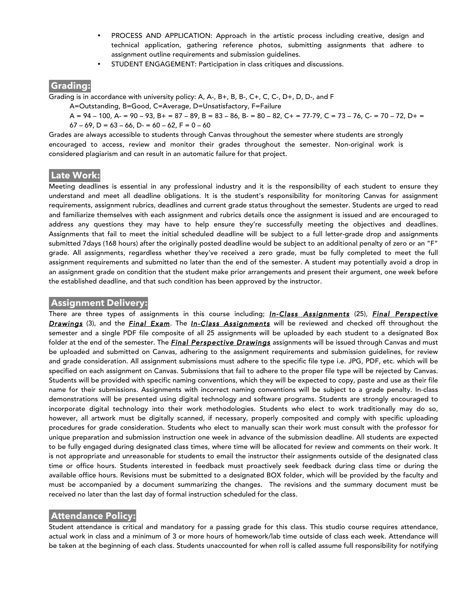- PROCESS AND APPLICATION: Approach in the artistic process including creative, design and technical application, gathering reference photos, submitting assignments that adhere to assignment outline requirements and submission guidelines.
- STUDENT ENGAGEMENT: Participation in class critiques and discussions.

## **Grading:**

Grading is in accordance with university policy: A, A-, B+, B, B-, C+, C, C-, D+, D, D-, and F

A=Outstanding, B=Good, C=Average, D=Unsatisfactory, F=Failure

 $A = 94 - 100$ ,  $A = 90 - 93$ ,  $B = 87 - 89$ ,  $B = 83 - 86$ ,  $B = 80 - 82$ ,  $C = 77 - 79$ ,  $C = 73 - 76$ ,  $C = 70 - 72$ ,  $D = 72$  $67 - 69$ ,  $D = 63 - 66$ ,  $D = 60 - 62$ ,  $F = 0 - 60$ 

Grades are always accessible to students through Canvas throughout the semester where students are strongly encouraged to access, review and monitor their grades throughout the semester. Non-original work is considered plagiarism and can result in an automatic failure for that project.

## **Late Work:**

Meeting deadlines is essential in any professional industry and it is the responsibility of each student to ensure they understand and meet all deadline obligations. It is the student's responsibility for monitoring Canvas for assignment requirements, assignment rubrics, deadlines and current grade status throughout the semester. Students are urged to read and familiarize themselves with each assignment and rubrics details once the assignment is issued and are encouraged to address any questions they may have to help ensure they're successfully meeting the objectives and deadlines. Assignments that fail to meet the initial scheduled deadline will be subject to a full letter-grade drop and assignments submitted 7days (168 hours) after the originally posted deadline would be subject to an additional penalty of zero or an "F" grade. All assignments, regardless whether they've received a zero grade, must be fully completed to meet the full assignment requirements and submitted no later than the end of the semester. A student may potentially avoid a drop in an assignment grade on condition that the student make prior arrangements and present their argument, one week before the established deadline, and that such condition has been approved by the instructor.

#### **Assignment Delivery:**

There are three types of assignments in this course including; *In-Class Assignments* (25), *Final Perspective Drawings* (3), and the *Final Exam*. The *In-Class Assignments* will be reviewed and checked off throughout the semester and a single PDF file composite of all 25 assignments will be uploaded by each student to a designated Box folder at the end of the semester. The *Final Perspective Drawings* assignments will be issued through Canvas and must be uploaded and submitted on Canvas, adhering to the assignment requirements and submission guidelines, for review and grade consideration. All assignment submissions must adhere to the specific file type i.e. JPG, PDF, etc. which will be specified on each assignment on Canvas. Submissions that fail to adhere to the proper file type will be rejected by Canvas. Students will be provided with specific naming conventions, which they will be expected to copy, paste and use as their file name for their submissions. Assignments with incorrect naming conventions will be subject to a grade penalty. In-class demonstrations will be presented using digital technology and software programs. Students are strongly encouraged to incorporate digital technology into their work methodologies. Students who elect to work traditionally may do so, however, all artwork must be digitally scanned, if necessary, properly composited and comply with specific uploading procedures for grade consideration. Students who elect to manually scan their work must consult with the professor for unique preparation and submission instruction one week in advance of the submission deadline. All students are expected to be fully engaged during designated class times, where time will be allocated for review and comments on their work. It is not appropriate and unreasonable for students to email the instructor their assignments outside of the designated class time or office hours. Students interested in feedback must proactively seek feedback during class time or during the available office hours. Revisions must be submitted to a designated BOX folder, which will be provided by the faculty and must be accompanied by a document summarizing the changes. The revisions and the summary document must be received no later than the last day of formal instruction scheduled for the class.

## **Attendance Policy:**

Student attendance is critical and mandatory for a passing grade for this class. This studio course requires attendance, actual work in class and a minimum of 3 or more hours of homework/lab time outside of class each week. Attendance will be taken at the beginning of each class. Students unaccounted for when roll is called assume full responsibility for notifying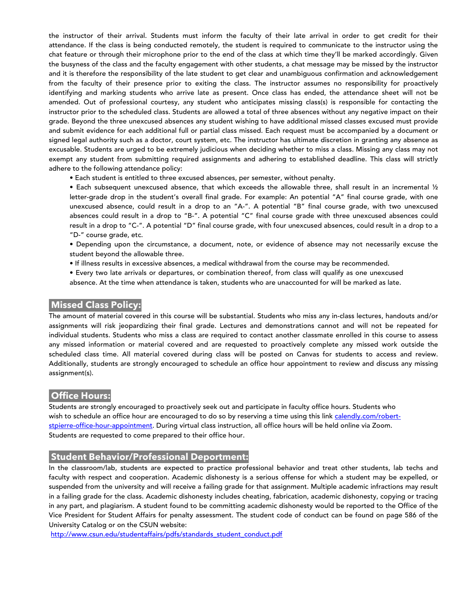the instructor of their arrival. Students must inform the faculty of their late arrival in order to get credit for their attendance. If the class is being conducted remotely, the student is required to communicate to the instructor using the chat feature or through their microphone prior to the end of the class at which time they'll be marked accordingly. Given the busyness of the class and the faculty engagement with other students, a chat message may be missed by the instructor and it is therefore the responsibility of the late student to get clear and unambiguous confirmation and acknowledgement from the faculty of their presence prior to exiting the class. The instructor assumes no responsibility for proactively identifying and marking students who arrive late as present. Once class has ended, the attendance sheet will not be amended. Out of professional courtesy, any student who anticipates missing class(s) is responsible for contacting the instructor prior to the scheduled class. Students are allowed a total of three absences without any negative impact on their grade. Beyond the three unexcused absences any student wishing to have additional missed classes excused must provide and submit evidence for each additional full or partial class missed. Each request must be accompanied by a document or signed legal authority such as a doctor, court system, etc. The instructor has ultimate discretion in granting any absence as excusable. Students are urged to be extremely judicious when deciding whether to miss a class. Missing any class may not exempt any student from submitting required assignments and adhering to established deadline. This class will strictly adhere to the following attendance policy:

• Each student is entitled to three excused absences, per semester, without penalty.

• Each subsequent unexcused absence, that which exceeds the allowable three, shall result in an incremental ½ letter-grade drop in the student's overall final grade. For example: An potential "A" final course grade, with one unexcused absence, could result in a drop to an "A-". A potential "B" final course grade, with two unexcused absences could result in a drop to "B-". A potential "C" final course grade with three unexcused absences could result in a drop to "C-". A potential "D" final course grade, with four unexcused absences, could result in a drop to a "D-" course grade, etc.

- Depending upon the circumstance, a document, note, or evidence of absence may not necessarily excuse the student beyond the allowable three.
- If illness results in excessive absences, a medical withdrawal from the course may be recommended.
- Every two late arrivals or departures, or combination thereof, from class will qualify as one unexcused absence. At the time when attendance is taken, students who are unaccounted for will be marked as late.

## **Missed Class Policy:**

The amount of material covered in this course will be substantial. Students who miss any in-class lectures, handouts and/or assignments will risk jeopardizing their final grade. Lectures and demonstrations cannot and will not be repeated for individual students. Students who miss a class are required to contact another classmate enrolled in this course to assess any missed information or material covered and are requested to proactively complete any missed work outside the scheduled class time. All material covered during class will be posted on Canvas for students to access and review. Additionally, students are strongly encouraged to schedule an office hour appointment to review and discuss any missing assignment(s).

## **Office Hours:**

Students are strongly encouraged to proactively seek out and participate in faculty office hours. Students who wish to schedule an office hour are encouraged to do so by reserving a time using this link calendly.com/robertstpierre-office-hour-appointment. During virtual class instruction, all office hours will be held online via Zoom. Students are requested to come prepared to their office hour.

#### **Student Behavior/Professional Deportment:**

In the classroom/lab, students are expected to practice professional behavior and treat other students, lab techs and faculty with respect and cooperation. Academic dishonesty is a serious offense for which a student may be expelled, or suspended from the university and will receive a failing grade for that assignment. Multiple academic infractions may result in a failing grade for the class. Academic dishonesty includes cheating, fabrication, academic dishonesty, copying or tracing in any part, and plagiarism. A student found to be committing academic dishonesty would be reported to the Office of the Vice President for Student Affairs for penalty assessment. The student code of conduct can be found on page 586 of the University Catalog or on the CSUN website:

http://www.csun.edu/studentaffairs/pdfs/standards\_student\_conduct.pdf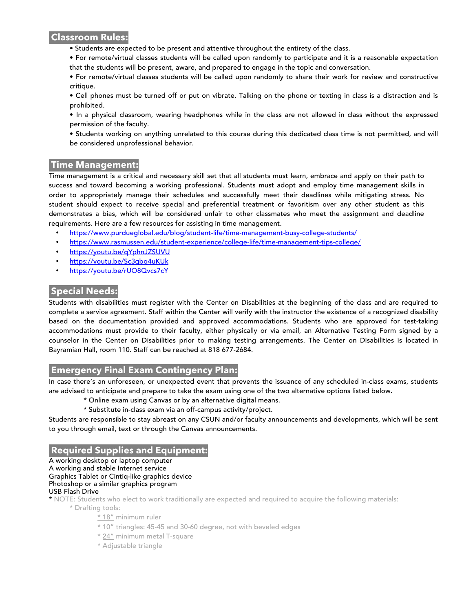#### **Classroom Rules:**

- Students are expected to be present and attentive throughout the entirety of the class.
- For remote/virtual classes students will be called upon randomly to participate and it is a reasonable expectation that the students will be present, aware, and prepared to engage in the topic and conversation.

• For remote/virtual classes students will be called upon randomly to share their work for review and constructive critique.

• Cell phones must be turned off or put on vibrate. Talking on the phone or texting in class is a distraction and is prohibited.

• In a physical classroom, wearing headphones while in the class are not allowed in class without the expressed permission of the faculty.

• Students working on anything unrelated to this course during this dedicated class time is not permitted, and will be considered unprofessional behavior.

## **Time Management:**

Time management is a critical and necessary skill set that all students must learn, embrace and apply on their path to success and toward becoming a working professional. Students must adopt and employ time management skills in order to appropriately manage their schedules and successfully meet their deadlines while mitigating stress. No student should expect to receive special and preferential treatment or favoritism over any other student as this demonstrates a bias, which will be considered unfair to other classmates who meet the assignment and deadline requirements. Here are a few resources for assisting in time management.

- https://www.purdueglobal.edu/blog/student-life/time-management-busy-college-students/
- https://www.rasmussen.edu/student-experience/college-life/time-management-tips-college/
- https://youtu.be/qYphnJZSUVU
- https://youtu.be/Sc3qbg4uKUk
- https://youtu.be/rUO8Qvcs7cY

# **Special Needs:**

Students with disabilities must register with the Center on Disabilities at the beginning of the class and are required to complete a service agreement. Staff within the Center will verify with the instructor the existence of a recognized disability based on the documentation provided and approved accommodations. Students who are approved for test-taking accommodations must provide to their faculty, either physically or via email, an Alternative Testing Form signed by a counselor in the Center on Disabilities prior to making testing arrangements. The Center on Disabilities is located in Bayramian Hall, room 110. Staff can be reached at 818 677-2684.

# **Emergency Final Exam Contingency Plan:**

In case there's an unforeseen, or unexpected event that prevents the issuance of any scheduled in-class exams, students are advised to anticipate and prepare to take the exam using one of the two alternative options listed below.

- \* Online exam using Canvas or by an alternative digital means.
- \* Substitute in-class exam via an off-campus activity/project.

Students are responsible to stay abreast on any CSUN and/or faculty announcements and developments, which will be sent to you through email, text or through the Canvas announcements.

# **Required Supplies and Equipment:**

A working desktop or laptop computer

A working and stable Internet service

Graphics Tablet or Cintiq-like graphics device

#### Photoshop or a similar graphics program

USB Flash Drive

\* NOTE: Students who elect to work traditionally are expected and required to acquire the following materials: \* Drafting tools:

- \* 18" minimum ruler
- \* 10" triangles: 45-45 and 30-60 degree, not with beveled edges
- \* 24" minimum metal T-square
- \* Adjustable triangle